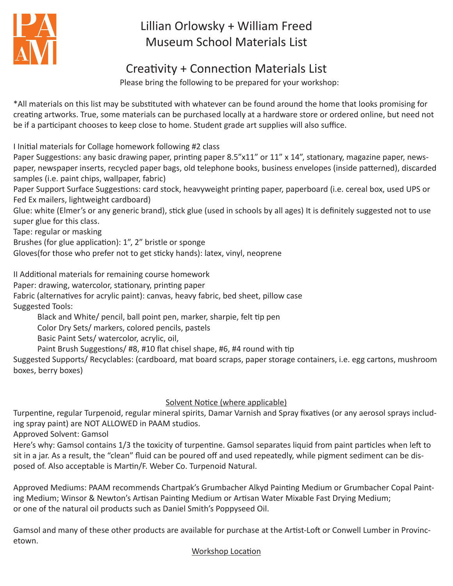

# Lillian Orlowsky + William Freed Museum School Materials List

## Creativity + Connection Materials List

Please bring the following to be prepared for your workshop:

\*All materials on this list may be substituted with whatever can be found around the home that looks promising for creating artworks. True, some materials can be purchased locally at a hardware store or ordered online, but need not be if a participant chooses to keep close to home. Student grade art supplies will also suffice.

I Initial materials for Collage homework following #2 class

Paper Suggestions: any basic drawing paper, printing paper 8.5"x11" or 11" x 14", stationary, magazine paper, newspaper, newspaper inserts, recycled paper bags, old telephone books, business envelopes (inside patterned), discarded samples (i.e. paint chips, wallpaper, fabric)

Paper Support Surface Suggestions: card stock, heavyweight printing paper, paperboard (i.e. cereal box, used UPS or Fed Ex mailers, lightweight cardboard)

Glue: white (Elmer's or any generic brand), stick glue (used in schools by all ages) It is definitely suggested not to use super glue for this class.

Tape: regular or masking

Brushes (for glue application): 1", 2" bristle or sponge

Gloves(for those who prefer not to get sticky hands): latex, vinyl, neoprene

II Additional materials for remaining course homework

Paper: drawing, watercolor, stationary, printing paper

Fabric (alternatives for acrylic paint): canvas, heavy fabric, bed sheet, pillow case Suggested Tools:

Black and White/ pencil, ball point pen, marker, sharpie, felt tip pen

Color Dry Sets/ markers, colored pencils, pastels

Basic Paint Sets/ watercolor, acrylic, oil,

Paint Brush Suggestions/ #8, #10 flat chisel shape, #6, #4 round with tip

Suggested Supports/ Recyclables: (cardboard, mat board scraps, paper storage containers, i.e. egg cartons, mushroom boxes, berry boxes)

### Solvent Notice (where applicable)

Turpentine, regular Turpenoid, regular mineral spirits, Damar Varnish and Spray fixatives (or any aerosol sprays including spray paint) are NOT ALLOWED in PAAM studios.

Approved Solvent: Gamsol

Here's why: Gamsol contains 1/3 the toxicity of turpentine. Gamsol separates liquid from paint particles when left to sit in a jar. As a result, the "clean" fluid can be poured off and used repeatedly, while pigment sediment can be disposed of. Also acceptable is Martin/F. Weber Co. Turpenoid Natural.

Approved Mediums: PAAM recommends Chartpak's Grumbacher Alkyd Painting Medium or Grumbacher Copal Painting Medium; Winsor & Newton's Artisan Painting Medium or Artisan Water Mixable Fast Drying Medium; or one of the natural oil products such as Daniel Smith's Poppyseed Oil.

Gamsol and many of these other products are available for purchase at the Artist-Loft or Conwell Lumber in Provincetown.

### Workshop Location